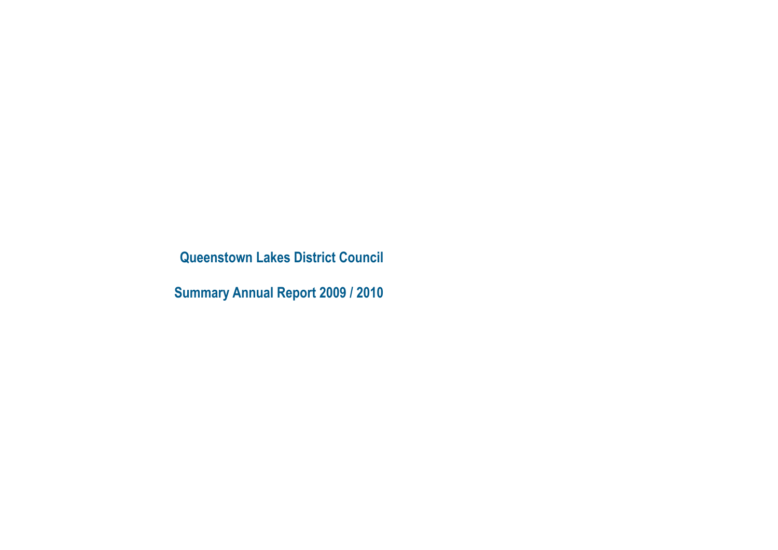**Queenstown Lakes District Council**

**Summary Annual Report 2009 / 2010**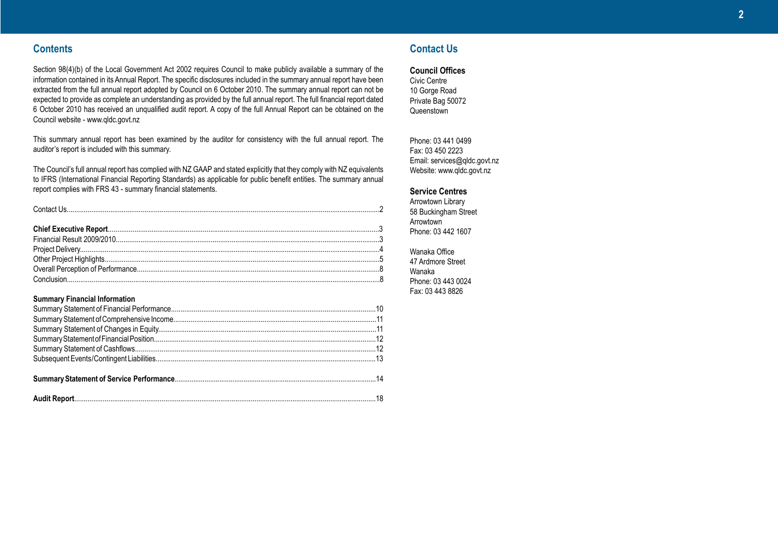# **Contents**

Section 98(4)(b) of the Local Government Act 2002 requires Council to make publicly available a summary of the information contained in its Annual Report. The specific disclosures included in the summary annual report have been extracted from the full annual report adopted by Council on 6 October 2010. The summary annual report can not be expected to provide as complete an understanding as provided by the full annual report. The full financial report dated 6 October 2010 has received an unqualified audit report. A copy of the full Annual Report can be obtained on the Council website - www.qldc.govt.nz

This summary annual report has been examined by the auditor for consistency with the full annual report. The auditor's report is included with this summary.

The Council's full annual report has complied with NZ GAAP and stated explicitly that they comply with NZ equivalents to IFRS (International Financial Reporting Standards) as applicable for public benefit entities. The summary annual report complies with FRS 43 - summary financial statements.

| $\textbf{Context } \textsf{Us}.\textcolor{red}{\textbf{15}}\textcolor{red}{\textbf{16}}\textcolor{red}{\textbf{27}}\textcolor{red}{\textbf{28}}\textcolor{red}{\textbf{29}}\textcolor{red}{\textbf{21}}\textcolor{red}{\textbf{21}}\textcolor{red}{\textbf{21}}\textcolor{red}{\textbf{21}}\textcolor{red}{\textbf{21}}\textcolor{red}{\textbf{21}}\textcolor{red}{\textbf{21}}\textcolor{red}{\textbf{21}}\textcolor{red}{\textbf{21}}\textcolor{red}{\textbf{21}}\textcolor{red}{\textbf{21}}$ |  |
|--------------------------------------------------------------------------------------------------------------------------------------------------------------------------------------------------------------------------------------------------------------------------------------------------------------------------------------------------------------------------------------------------------------------------------------------------------------------------------------------------|--|
|                                                                                                                                                                                                                                                                                                                                                                                                                                                                                                  |  |
|                                                                                                                                                                                                                                                                                                                                                                                                                                                                                                  |  |
|                                                                                                                                                                                                                                                                                                                                                                                                                                                                                                  |  |
|                                                                                                                                                                                                                                                                                                                                                                                                                                                                                                  |  |
|                                                                                                                                                                                                                                                                                                                                                                                                                                                                                                  |  |

Overall Perception of Performance................................................................................................................................8 Conclusion.....................................................................................................................................................................8

### **Summary Financial Information**

# **Contact Us**

**Council Offices**

Civic Centre 10 Gorge Road Private Bag 50072 Queenstown

Phone: 03 441 0499 Fax: 03 450 2223 Email: services@qldc.govt.nz Website: www.qldc.govt.nz

### **Service Centres**

Arrowtown Library 58 Buckingham Street Arrowtown Phone: 03 442 1607

Wanaka Office 47 Ardmore Street Wanaka Phone: 03 443 0024 Fax: 03 443 8826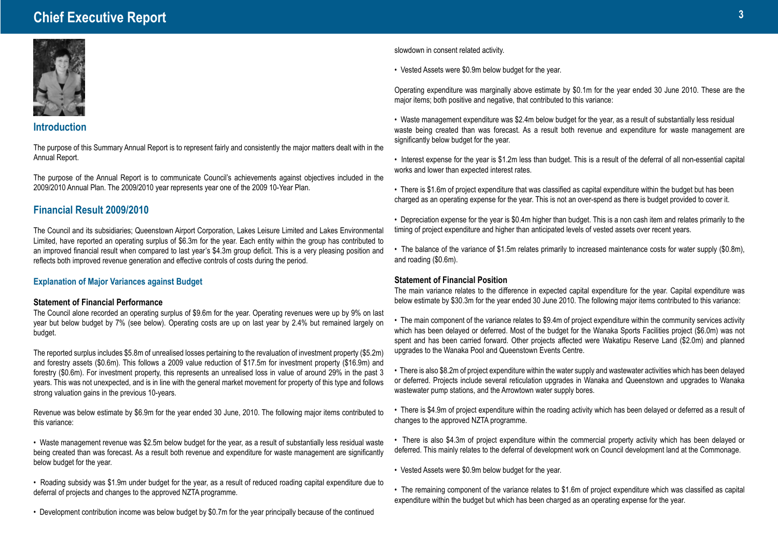# **Chief Executive Report <sup>3</sup>**



### **Introduction**

The purpose of this Summary Annual Report is to represent fairly and consistently the major matters dealt with in the Annual Report.

The purpose of the Annual Report is to communicate Council's achievements against objectives included in the 2009/2010 Annual Plan. The 2009/2010 year represents year one of the 2009 10-Year Plan.

# **Financial Result 2009/2010**

The Council and its subsidiaries; Queenstown Airport Corporation, Lakes Leisure Limited and Lakes Environmental Limited, have reported an operating surplus of \$6.3m for the year. Each entity within the group has contributed to an improved financial result when compared to last year's \$4.3m group deficit. This is a very pleasing position and reflects both improved revenue generation and effective controls of costs during the period.

### **Explanation of Major Variances against Budget**

### **Statement of Financial Performance**

The Council alone recorded an operating surplus of \$9.6m for the year. Operating revenues were up by 9% on last year but below budget by 7% (see below). Operating costs are up on last year by 2.4% but remained largely on budget.

The reported surplus includes \$5.8m of unrealised losses pertaining to the revaluation of investment property (\$5.2m) and forestry assets (\$0.6m). This follows a 2009 value reduction of \$17.5m for investment property (\$16.9m) and forestry (\$0.6m). For investment property, this represents an unrealised loss in value of around 29% in the past 3 years. This was not unexpected, and is in line with the general market movement for property of this type and follows strong valuation gains in the previous 10-years.

Revenue was below estimate by \$6.9m for the year ended 30 June, 2010. The following major items contributed to this variance:

• Waste management revenue was \$2.5m below budget for the year, as a result of substantially less residual waste being created than was forecast. As a result both revenue and expenditure for waste management are significantly below budget for the year.

• Roading subsidy was \$1.9m under budget for the year, as a result of reduced roading capital expenditure due to deferral of projects and changes to the approved NZTA programme.

• Development contribution income was below budget by \$0.7m for the year principally because of the continued

slowdown in consent related activity.

• Vested Assets were \$0.9m below budget for the year.

Operating expenditure was marginally above estimate by \$0.1m for the year ended 30 June 2010. These are the major items; both positive and negative, that contributed to this variance:

• Waste management expenditure was \$2.4m below budget for the year, as a result of substantially less residual waste being created than was forecast. As a result both revenue and expenditure for waste management are significantly below budget for the year.

• Interest expense for the year is \$1.2m less than budget. This is a result of the deferral of all non-essential capital works and lower than expected interest rates.

• There is \$1.6m of project expenditure that was classified as capital expenditure within the budget but has been charged as an operating expense for the year. This is not an over-spend as there is budget provided to cover it.

- Depreciation expense for the year is \$0.4m higher than budget. This is a non cash item and relates primarily to the timing of project expenditure and higher than anticipated levels of vested assets over recent years.
- The balance of the variance of \$1.5m relates primarily to increased maintenance costs for water supply (\$0.8m), and roading (\$0.6m).

### **Statement of Financial Position**

The main variance relates to the difference in expected capital expenditure for the year. Capital expenditure was below estimate by \$30.3m for the year ended 30 June 2010. The following major items contributed to this variance:

- The main component of the variance relates to \$9.4m of project expenditure within the community services activity which has been delayed or deferred. Most of the budget for the Wanaka Sports Facilities project (\$6.0m) was not spent and has been carried forward. Other projects affected were Wakatipu Reserve Land (\$2.0m) and planned upgrades to the Wanaka Pool and Queenstown Events Centre.
- There is also \$8.2m of project expenditure within the water supply and wastewater activities which has been delayed or deferred. Projects include several reticulation upgrades in Wanaka and Queenstown and upgrades to Wanaka wastewater pump stations, and the Arrowtown water supply bores.
- There is \$4.9m of project expenditure within the roading activity which has been delayed or deferred as a result of changes to the approved NZTA programme.
- There is also \$4.3m of project expenditure within the commercial property activity which has been delayed or deferred. This mainly relates to the deferral of development work on Council development land at the Commonage.
- Vested Assets were \$0.9m below budget for the year.
- The remaining component of the variance relates to \$1.6m of project expenditure which was classified as capital expenditure within the budget but which has been charged as an operating expense for the year.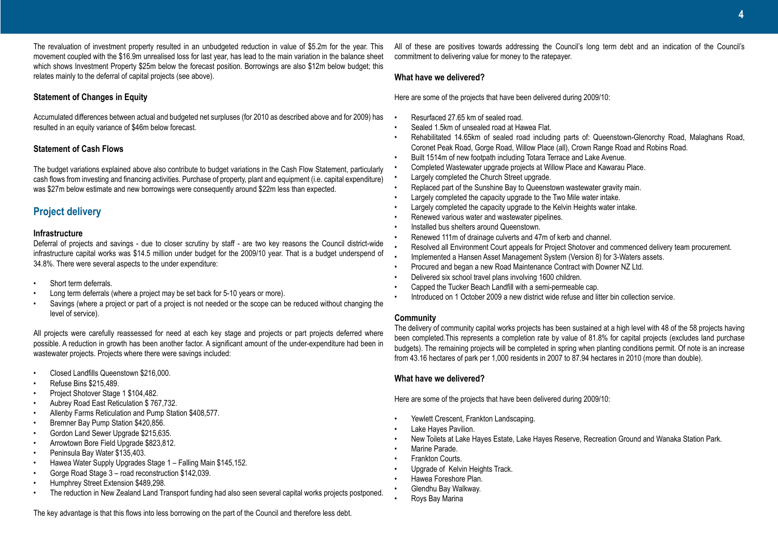The revaluation of investment property resulted in an unbudgeted reduction in value of \$5.2m for the year. This movement coupled with the \$16.9m unrealised loss for last year, has lead to the main variation in the balance sheet which shows Investment Property \$25m below the forecast position. Borrowings are also \$12m below budget; this relates mainly to the deferral of capital projects (see above).

### **Statement of Changes in Equity**

Accumulated differences between actual and budgeted net surpluses (for 2010 as described above and for 2009) has resulted in an equity variance of \$46m below forecast.

### **Statement of Cash Flows**

The budget variations explained above also contribute to budget variations in the Cash Flow Statement, particularly cash flows from investing and financing activities. Purchase of property, plant and equipment (i.e. capital expenditure) was \$27m below estimate and new borrowings were consequently around \$22m less than expected.

# **Project delivery**

### **Infrastructure**

Deferral of projects and savings - due to closer scrutiny by staff - are two key reasons the Council district-wide infrastructure capital works was \$14.5 million under budget for the 2009/10 year. That is a budget underspend of 34.8%. There were several aspects to the under expenditure:

- Short term deferrals.
- Long term deferrals (where a project may be set back for 5-10 years or more).
- Savings (where a project or part of a project is not needed or the scope can be reduced without changing the level of service).

All projects were carefully reassessed for need at each key stage and projects or part projects deferred where possible. A reduction in growth has been another factor. A significant amount of the under-expenditure had been in wastewater projects. Projects where there were savings included:

- Closed Landfills Queenstown \$216,000.
- Refuse Bins \$215,489.
- Project Shotover Stage 1 \$104,482.
- Aubrey Road East Reticulation \$ 767,732.
- Allenby Farms Reticulation and Pump Station \$408,577.
- Bremner Bay Pump Station \$420,856.
- Gordon Land Sewer Upgrade \$215,635.
- Arrowtown Bore Field Upgrade \$823,812.
- Peninsula Bay Water \$135,403.
- Hawea Water Supply Upgrades Stage 1 Falling Main \$145,152.
- Gorge Road Stage 3 road reconstruction \$142,039.
- Humphrey Street Extension \$489,298.
- The reduction in New Zealand Land Transport funding had also seen several capital works projects postponed.

All of these are positives towards addressing the Council's long term debt and an indication of the Council's commitment to delivering value for money to the ratepayer.

### **What have we delivered?**

Here are some of the projects that have been delivered during 2009/10:

- Resurfaced 27.65 km of sealed road.
- Sealed 1.5km of unsealed road at Hawea Flat.
- Rehabilitated 14.65km of sealed road including parts of: Queenstown-Glenorchy Road, Malaghans Road, Coronet Peak Road, Gorge Road, Willow Place (all), Crown Range Road and Robins Road.
- Built 1514m of new footpath including Totara Terrace and Lake Avenue.
- Completed Wastewater upgrade projects at Willow Place and Kawarau Place.
- Largely completed the Church Street upgrade.
- Replaced part of the Sunshine Bay to Queenstown wastewater gravity main.
- Largely completed the capacity upgrade to the Two Mile water intake.
- Largely completed the capacity upgrade to the Kelvin Heights water intake.
- Renewed various water and wastewater pipelines.
- Installed bus shelters around Queenstown.
- Renewed 111m of drainage culverts and 47m of kerb and channel.
- Resolved all Environment Court appeals for Project Shotover and commenced delivery team procurement.
- Implemented a Hansen Asset Management System (Version 8) for 3-Waters assets.
- Procured and began a new Road Maintenance Contract with Downer NZ Ltd.
- Delivered six school travel plans involving 1600 children.
- Capped the Tucker Beach Landfill with a semi-permeable cap.
- Introduced on 1 October 2009 a new district wide refuse and litter bin collection service.

### **Community**

The delivery of community capital works projects has been sustained at a high level with 48 of the 58 projects having been completed.This represents a completion rate by value of 81.8% for capital projects (excludes land purchase budgets). The remaining projects will be completed in spring when planting conditions permit. Of note is an increase from 43.16 hectares of park per 1,000 residents in 2007 to 87.94 hectares in 2010 (more than double).

### **What have we delivered?**

Here are some of the projects that have been delivered during 2009/10:

- Yewlett Crescent, Frankton Landscaping.
- Lake Hayes Pavilion.
- New Toilets at Lake Hayes Estate, Lake Hayes Reserve, Recreation Ground and Wanaka Station Park.
- Marine Parade.
- Frankton Courts.
- Upgrade of Kelvin Heights Track.
- Hawea Foreshore Plan.
	- Glendhu Bay Walkway.
	- Roys Bay Marina

The key advantage is that this flows into less borrowing on the part of the Council and therefore less debt.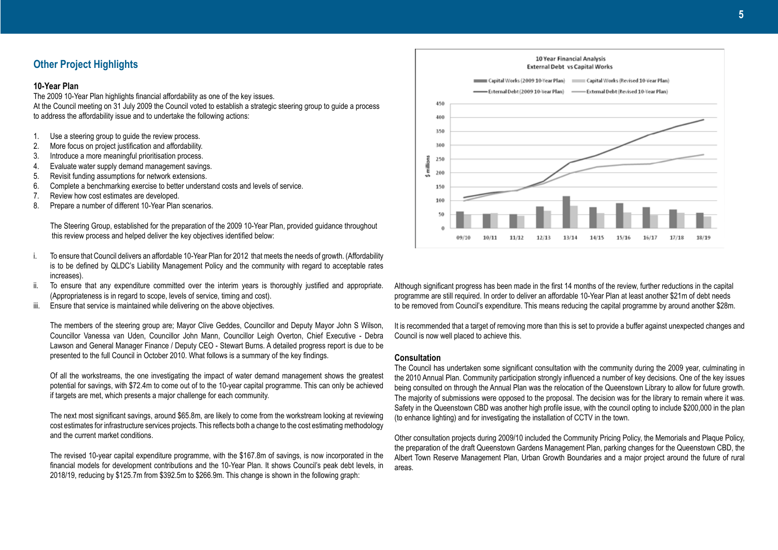### **Other Project Highlights**

#### **10-Year Plan**

The 2009 10-Year Plan highlights financial affordability as one of the key issues. At the Council meeting on 31 July 2009 the Council voted to establish a strategic steering group to guide a process to address the affordability issue and to undertake the following actions:

- 1. Use a steering group to guide the review process.
- 2. More focus on project justification and affordability.
- 3. Introduce a more meaningful prioritisation process.
- 4. Evaluate water supply demand management savings.
- 5. Revisit funding assumptions for network extensions.
- 6. Complete a benchmarking exercise to better understand costs and levels of service.
- 7. Review how cost estimates are developed.
- 8. Prepare a number of different 10-Year Plan scenarios.

 The Steering Group, established for the preparation of the 2009 10-Year Plan, provided guidance throughout this review process and helped deliver the key objectives identified below:

- i. To ensure that Council delivers an affordable 10-Year Plan for 2012 that meets the needs of growth. (Affordability is to be defined by QLDC's Liability Management Policy and the community with regard to acceptable rates increases).
- ii. To ensure that any expenditure committed over the interim years is thoroughly justified and appropriate. (Appropriateness is in regard to scope, levels of service, timing and cost).
- iii. Ensure that service is maintained while delivering on the above objectives.

The members of the steering group are; Mayor Clive Geddes, Councillor and Deputy Mayor John S Wilson, Councillor Vanessa van Uden, Councillor John Mann, Councillor Leigh Overton, Chief Executive - Debra Lawson and General Manager Finance / Deputy CEO - Stewart Burns. A detailed progress report is due to be presented to the full Council in October 2010. What follows is a summary of the key findings.

Of all the workstreams, the one investigating the impact of water demand management shows the greatest potential for savings, with \$72.4m to come out of to the 10-year capital programme. This can only be achieved if targets are met, which presents a major challenge for each community.

The next most significant savings, around \$65.8m, are likely to come from the workstream looking at reviewing cost estimates for infrastructure services projects. This reflects both a change to the cost estimating methodology and the current market conditions.

The revised 10-year capital expenditure programme, with the \$167.8m of savings, is now incorporated in the financial models for development contributions and the 10-Year Plan. It shows Council's peak debt levels, in 2018/19, reducing by \$125.7m from \$392.5m to \$266.9m. This change is shown in the following graph:



Although significant progress has been made in the first 14 months of the review, further reductions in the capital programme are still required. In order to deliver an affordable 10-Year Plan at least another \$21m of debt needs to be removed from Council's expenditure. This means reducing the capital programme by around another \$28m.

It is recommended that a target of removing more than this is set to provide a buffer against unexpected changes and Council is now well placed to achieve this.

### **Consultation**

The Council has undertaken some significant consultation with the community during the 2009 year, culminating in the 2010 Annual Plan. Community participation strongly influenced a number of key decisions. One of the key issues being consulted on through the Annual Plan was the relocation of the Queenstown Library to allow for future growth. The majority of submissions were opposed to the proposal. The decision was for the library to remain where it was. Safety in the Queenstown CBD was another high profile issue, with the council opting to include \$200,000 in the plan (to enhance lighting) and for investigating the installation of CCTV in the town.

Other consultation projects during 2009/10 included the Community Pricing Policy, the Memorials and Plaque Policy, the preparation of the draft Queenstown Gardens Management Plan, parking changes for the Queenstown CBD, the Albert Town Reserve Management Plan, Urban Growth Boundaries and a major project around the future of rural areas.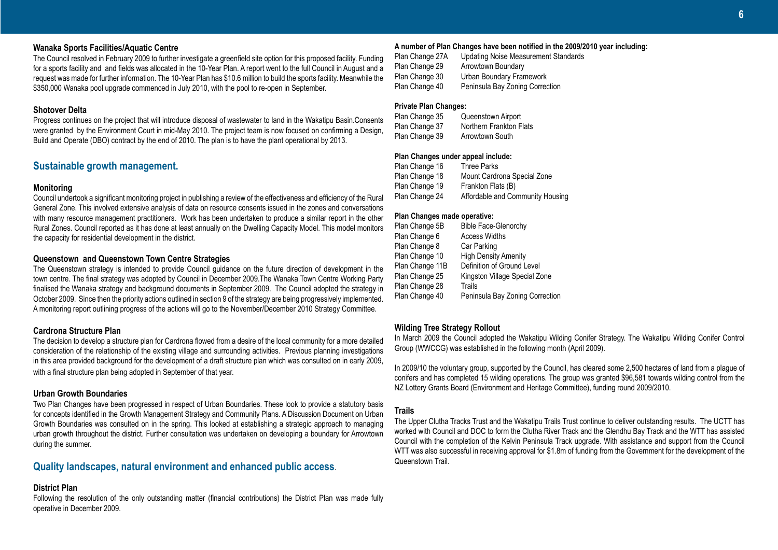### **Wanaka Sports Facilities/Aquatic Centre**

The Council resolved in February 2009 to further investigate a greenfield site option for this proposed facility. Funding for a sports facility and and fields was allocated in the 10-Year Plan. A report went to the full Council in August and a request was made for further information. The 10-Year Plan has \$10.6 million to build the sports facility. Meanwhile the \$350,000 Wanaka pool upgrade commenced in July 2010, with the pool to re-open in September.

### **Shotover Delta**

Progress continues on the project that will introduce disposal of wastewater to land in the Wakatipu Basin.Consents were granted by the Environment Court in mid-May 2010. The project team is now focused on confirming a Design, Build and Operate (DBO) contract by the end of 2010. The plan is to have the plant operational by 2013.

### **Sustainable growth management.**

### **Monitoring**

Council undertook a significant monitoring project in publishing a review of the effectiveness and efficiency of the Rural General Zone. This involved extensive analysis of data on resource consents issued in the zones and conversations with many resource management practitioners. Work has been undertaken to produce a similar report in the other Rural Zones. Council reported as it has done at least annually on the Dwelling Capacity Model. This model monitors the capacity for residential development in the district.

#### **Queenstown and Queenstown Town Centre Strategies**

The Queenstown strategy is intended to provide Council guidance on the future direction of development in the town centre. The final strategy was adopted by Council in December 2009.The Wanaka Town Centre Working Party finalised the Wanaka strategy and background documents in September 2009. The Council adopted the strategy in October 2009. Since then the priority actions outlined in section 9 of the strategy are being progressively implemented. A monitoring report outlining progress of the actions will go to the November/December 2010 Strategy Committee.

### **Cardrona Structure Plan**

The decision to develop a structure plan for Cardrona flowed from a desire of the local community for a more detailed consideration of the relationship of the existing village and surrounding activities. Previous planning investigations in this area provided background for the development of a draft structure plan which was consulted on in early 2009, with a final structure plan being adopted in September of that year.

#### **Urban Growth Boundaries**

Two Plan Changes have been progressed in respect of Urban Boundaries. These look to provide a statutory basis for concepts identified in the Growth Management Strategy and Community Plans. A Discussion Document on Urban Growth Boundaries was consulted on in the spring. This looked at establishing a strategic approach to managing urban growth throughout the district. Further consultation was undertaken on developing a boundary for Arrowtown during the summer.

### **Quality landscapes, natural environment and enhanced public access**.

### **District Plan**

Following the resolution of the only outstanding matter (financial contributions) the District Plan was made fully operative in December 2009.

### **A number of Plan Changes have been notified in the 2009/2010 year including:**

| Plan Change 27A | Updating Noise Measurement Standards |
|-----------------|--------------------------------------|
| Plan Change 29  | Arrowtown Boundary                   |
| Plan Change 30  | Urban Boundary Framework             |
| Plan Change 40  | Peninsula Bay Zoning Correction      |

### **Private Plan Changes:**

| Plan Change 35 | Queenstown Airport      |
|----------------|-------------------------|
| Plan Change 37 | Northern Frankton Flats |
| Plan Change 39 | Arrowtown South         |

### **Plan Changes under appeal include:**

| Three Parks                      |
|----------------------------------|
| Mount Cardrona Special Zone      |
| Frankton Flats (B)               |
| Affordable and Community Housing |
|                                  |

### **Plan Changes made operative:**

| Plan Change 5B  | <b>Bible Face-Glenorchy</b>     |
|-----------------|---------------------------------|
| Plan Change 6   | <b>Access Widths</b>            |
| Plan Change 8   | Car Parking                     |
| Plan Change 10  | <b>High Density Amenity</b>     |
| Plan Change 11B | Definition of Ground Level      |
| Plan Change 25  | Kingston Village Special Zone   |
| Plan Change 28  | Trails                          |
| Plan Change 40  | Peninsula Bay Zoning Correction |

#### **Wilding Tree Strategy Rollout**

In March 2009 the Council adopted the Wakatipu Wilding Conifer Strategy. The Wakatipu Wilding Conifer Control Group (WWCCG) was established in the following month (April 2009).

In 2009/10 the voluntary group, supported by the Council, has cleared some 2,500 hectares of land from a plague of conifers and has completed 15 wilding operations. The group was granted \$96,581 towards wilding control from the NZ Lottery Grants Board (Environment and Heritage Committee), funding round 2009/2010.

### **Trails**

The Upper Clutha Tracks Trust and the Wakatipu Trails Trust continue to deliver outstanding results. The UCTT has worked with Council and DOC to form the Clutha River Track and the Glendhu Bay Track and the WTT has assisted Council with the completion of the Kelvin Peninsula Track upgrade. With assistance and support from the Council WTT was also successful in receiving approval for \$1.8m of funding from the Government for the development of the Queenstown Trail.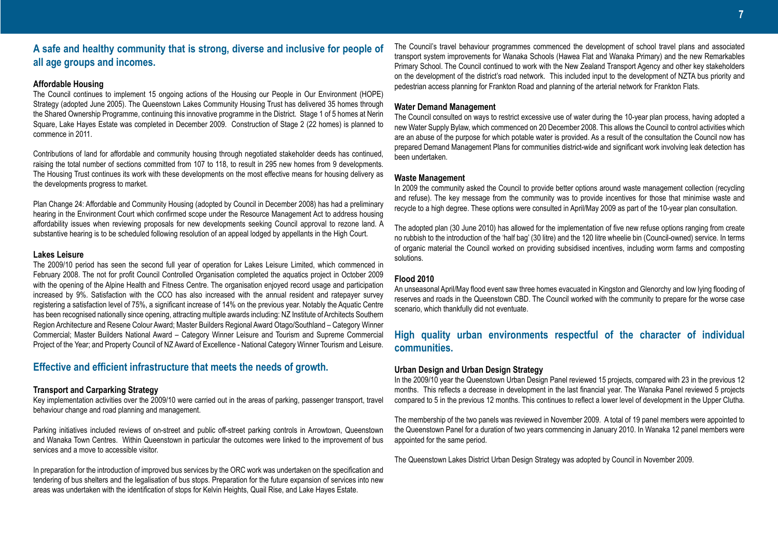# **A safe and healthy community that is strong, diverse and inclusive for people of all age groups and incomes.**

### **Affordable Housing**

The Council continues to implement 15 ongoing actions of the Housing our People in Our Environment (HOPE) Strategy (adopted June 2005). The Queenstown Lakes Community Housing Trust has delivered 35 homes through the Shared Ownership Programme, continuing this innovative programme in the District. Stage 1 of 5 homes at Nerin Square, Lake Hayes Estate was completed in December 2009. Construction of Stage 2 (22 homes) is planned to commence in 2011.

Contributions of land for affordable and community housing through negotiated stakeholder deeds has continued, raising the total number of sections committed from 107 to 118, to result in 295 new homes from 9 developments. The Housing Trust continues its work with these developments on the most effective means for housing delivery as the developments progress to market.

Plan Change 24: Affordable and Community Housing (adopted by Council in December 2008) has had a preliminary hearing in the Environment Court which confirmed scope under the Resource Management Act to address housing affordability issues when reviewing proposals for new developments seeking Council approval to rezone land. A substantive hearing is to be scheduled following resolution of an appeal lodged by appellants in the High Court.

### **Lakes Leisure**

The 2009/10 period has seen the second full year of operation for Lakes Leisure Limited, which commenced in February 2008. The not for profit Council Controlled Organisation completed the aquatics project in October 2009 with the opening of the Alpine Health and Fitness Centre. The organisation enjoyed record usage and participation increased by 9%. Satisfaction with the CCO has also increased with the annual resident and ratepayer survey registering a satisfaction level of 75%, a significant increase of 14% on the previous year. Notably the Aquatic Centre has been recognised nationally since opening, attracting multiple awards including: NZ Institute of Architects Southern Region Architecture and Resene Colour Award; Master Builders Regional Award Otago/Southland – Category Winner Commercial; Master Builders National Award – Category Winner Leisure and Tourism and Supreme Commercial Project of the Year; and Property Council of NZ Award of Excellence - National Category Winner Tourism and Leisure.

### **Effective and efficient infrastructure that meets the needs of growth.**

### **Transport and Carparking Strategy**

Key implementation activities over the 2009/10 were carried out in the areas of parking, passenger transport, travel behaviour change and road planning and management.

Parking initiatives included reviews of on-street and public off-street parking controls in Arrowtown, Queenstown and Wanaka Town Centres. Within Queenstown in particular the outcomes were linked to the improvement of bus services and a move to accessible visitor.

In preparation for the introduction of improved bus services by the ORC work was undertaken on the specification and tendering of bus shelters and the legalisation of bus stops. Preparation for the future expansion of services into new areas was undertaken with the identification of stops for Kelvin Heights, Quail Rise, and Lake Hayes Estate.

The Council's travel behaviour programmes commenced the development of school travel plans and associated transport system improvements for Wanaka Schools (Hawea Flat and Wanaka Primary) and the new Remarkables Primary School. The Council continued to work with the New Zealand Transport Agency and other key stakeholders on the development of the district's road network. This included input to the development of NZTA bus priority and pedestrian access planning for Frankton Road and planning of the arterial network for Frankton Flats.

### **Water Demand Management**

The Council consulted on ways to restrict excessive use of water during the 10-year plan process, having adopted a new Water Supply Bylaw, which commenced on 20 December 2008. This allows the Council to control activities which are an abuse of the purpose for which potable water is provided. As a result of the consultation the Council now has prepared Demand Management Plans for communities district-wide and significant work involving leak detection has been undertaken.

### **Waste Management**

In 2009 the community asked the Council to provide better options around waste management collection (recycling and refuse). The key message from the community was to provide incentives for those that minimise waste and recycle to a high degree. These options were consulted in April/May 2009 as part of the 10-year plan consultation.

The adopted plan (30 June 2010) has allowed for the implementation of five new refuse options ranging from create no rubbish to the introduction of the 'half bag' (30 litre) and the 120 litre wheelie bin (Council-owned) service. In terms of organic material the Council worked on providing subsidised incentives, including worm farms and composting solutions.

### **Flood 2010**

An unseasonal April/May flood event saw three homes evacuated in Kingston and Glenorchy and low lying flooding of reserves and roads in the Queenstown CBD. The Council worked with the community to prepare for the worse case scenario, which thankfully did not eventuate.

# **High quality urban environments respectful of the character of individual communities.**

### **Urban Design and Urban Design Strategy**

In the 2009/10 year the Queenstown Urban Design Panel reviewed 15 projects, compared with 23 in the previous 12 months. This reflects a decrease in development in the last financial year. The Wanaka Panel reviewed 5 projects compared to 5 in the previous 12 months. This continues to reflect a lower level of development in the Upper Clutha.

The membership of the two panels was reviewed in November 2009. A total of 19 panel members were appointed to the Queenstown Panel for a duration of two years commencing in January 2010. In Wanaka 12 panel members were appointed for the same period.

The Queenstown Lakes District Urban Design Strategy was adopted by Council in November 2009.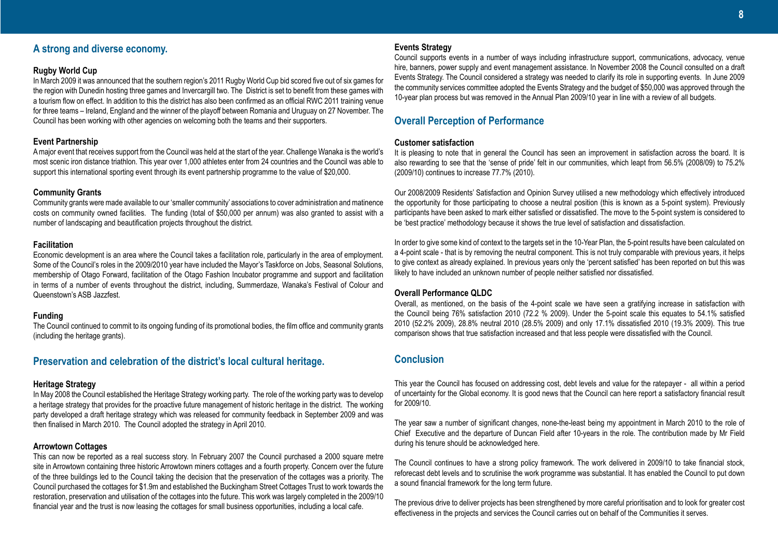# **A strong and diverse economy.**

### **Rugby World Cup**

In March 2009 it was announced that the southern region's 2011 Rugby World Cup bid scored five out of six games for the region with Dunedin hosting three games and Invercargill two. The District is set to benefit from these games with a tourism flow on effect. In addition to this the district has also been confirmed as an official RWC 2011 training venue for three teams – Ireland, England and the winner of the playoff between Romania and Uruguay on 27 November. The Council has been working with other agencies on welcoming both the teams and their supporters.

#### **Event Partnership**

A major event that receives support from the Council was held at the start of the year. Challenge Wanaka is the world's most scenic iron distance triathlon. This year over 1,000 athletes enter from 24 countries and the Council was able to support this international sporting event through its event partnership programme to the value of \$20,000.

#### **Community Grants**

Community grants were made available to our 'smaller community' associations to cover administration and matinence costs on community owned facilities. The funding (total of \$50,000 per annum) was also granted to assist with a number of landscaping and beautification projects throughout the district.

#### **Facilitation**

Economic development is an area where the Council takes a facilitation role, particularly in the area of employment. Some of the Council's roles in the 2009/2010 year have included the Mayor's Taskforce on Jobs, Seasonal Solutions, membership of Otago Forward, facilitation of the Otago Fashion Incubator programme and support and facilitation in terms of a number of events throughout the district, including, Summerdaze, Wanaka's Festival of Colour and Queenstown's ASB Jazzfest.

### **Funding**

The Council continued to commit to its ongoing funding of its promotional bodies, the film office and community grants (including the heritage grants).

### **Preservation and celebration of the district's local cultural heritage.**

#### **Heritage Strategy**

In May 2008 the Council established the Heritage Strategy working party. The role of the working party was to develop a heritage strategy that provides for the proactive future management of historic heritage in the district. The working party developed a draft heritage strategy which was released for community feedback in September 2009 and was then finalised in March 2010. The Council adopted the strategy in April 2010.

### **Arrowtown Cottages**

This can now be reported as a real success story. In February 2007 the Council purchased a 2000 square metre site in Arrowtown containing three historic Arrowtown miners cottages and a fourth property. Concern over the future of the three buildings led to the Council taking the decision that the preservation of the cottages was a priority. The Council purchased the cottages for \$1.9m and established the Buckingham Street Cottages Trust to work towards the restoration, preservation and utilisation of the cottages into the future. This work was largely completed in the 2009/10 financial year and the trust is now leasing the cottages for small business opportunities, including a local cafe.

### **Events Strategy**

Council supports events in a number of ways including infrastructure support, communications, advocacy, venue hire, banners, power supply and event management assistance. In November 2008 the Council consulted on a draft Events Strategy. The Council considered a strategy was needed to clarify its role in supporting events. In June 2009 the community services committee adopted the Events Strategy and the budget of \$50,000 was approved through the 10-year plan process but was removed in the Annual Plan 2009/10 year in line with a review of all budgets.

## **Overall Perception of Performance**

### **Customer satisfaction**

It is pleasing to note that in general the Council has seen an improvement in satisfaction across the board. It is also rewarding to see that the 'sense of pride' felt in our communities, which leapt from 56.5% (2008/09) to 75.2% (2009/10) continues to increase 77.7% (2010).

Our 2008/2009 Residents' Satisfaction and Opinion Survey utilised a new methodology which effectively introduced the opportunity for those participating to choose a neutral position (this is known as a 5-point system). Previously participants have been asked to mark either satisfied or dissatisfied. The move to the 5-point system is considered to be 'best practice' methodology because it shows the true level of satisfaction and dissatisfaction.

In order to give some kind of context to the targets set in the 10-Year Plan, the 5-point results have been calculated on a 4-point scale - that is by removing the neutral component. This is not truly comparable with previous years, it helps to give context as already explained. In previous years only the 'percent satisfied' has been reported on but this was likely to have included an unknown number of people neither satisfied nor dissatisfied.

### **Overall Performance QLDC**

Overall, as mentioned, on the basis of the 4-point scale we have seen a gratifying increase in satisfaction with the Council being 76% satisfaction 2010 (72.2 % 2009). Under the 5-point scale this equates to 54.1% satisfied 2010 (52.2% 2009), 28.8% neutral 2010 (28.5% 2009) and only 17.1% dissatisfied 2010 (19.3% 2009). This true comparison shows that true satisfaction increased and that less people were dissatisfied with the Council.

# **Conclusion**

This year the Council has focused on addressing cost, debt levels and value for the ratepayer - all within a period of uncertainty for the Global economy. It is good news that the Council can here report a satisfactory financial result for 2009/10.

The year saw a number of significant changes, none-the-least being my appointment in March 2010 to the role of Chief Executive and the departure of Duncan Field after 10-years in the role. The contribution made by Mr Field during his tenure should be acknowledged here.

The Council continues to have a strong policy framework. The work delivered in 2009/10 to take financial stock, reforecast debt levels and to scrutinise the work programme was substantial. It has enabled the Council to put down a sound financial framework for the long term future.

The previous drive to deliver projects has been strengthened by more careful prioritisation and to look for greater cost effectiveness in the projects and services the Council carries out on behalf of the Communities it serves.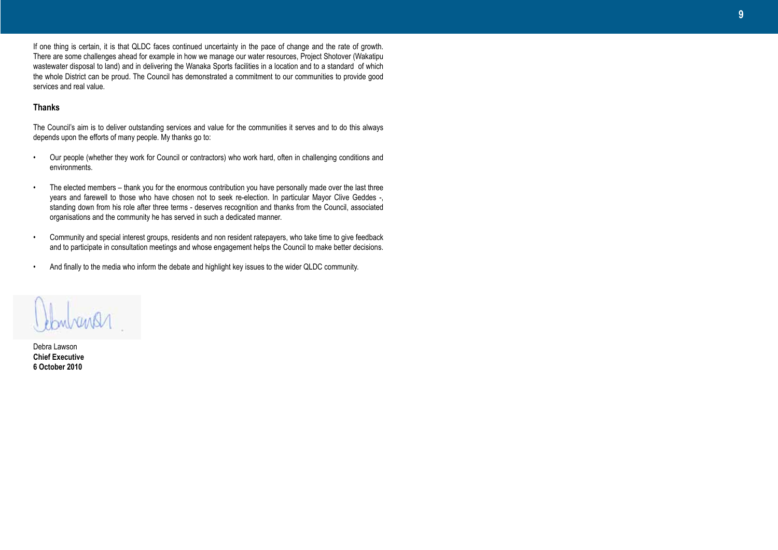If one thing is certain, it is that QLDC faces continued uncertainty in the pace of change and the rate of growth. There are some challenges ahead for example in how we manage our water resources, Project Shotover (Wakatipu wastewater disposal to land) and in delivering the Wanaka Sports facilities in a location and to a standard of which the whole District can be proud. The Council has demonstrated a commitment to our communities to provide good services and real value.

### **Thanks**

The Council's aim is to deliver outstanding services and value for the communities it serves and to do this always depends upon the efforts of many people. My thanks go to:

- Our people (whether they work for Council or contractors) who work hard, often in challenging conditions and environments.
- The elected members thank you for the enormous contribution you have personally made over the last three years and farewell to those who have chosen not to seek re-election. In particular Mayor Clive Geddes -, standing down from his role after three terms - deserves recognition and thanks from the Council, associated organisations and the community he has served in such a dedicated manner.
- Community and special interest groups, residents and non resident ratepayers, who take time to give feedback and to participate in consultation meetings and whose engagement helps the Council to make better decisions.
- And finally to the media who inform the debate and highlight key issues to the wider QLDC community.



Debra Lawson **Chief Executive 6 October 2010**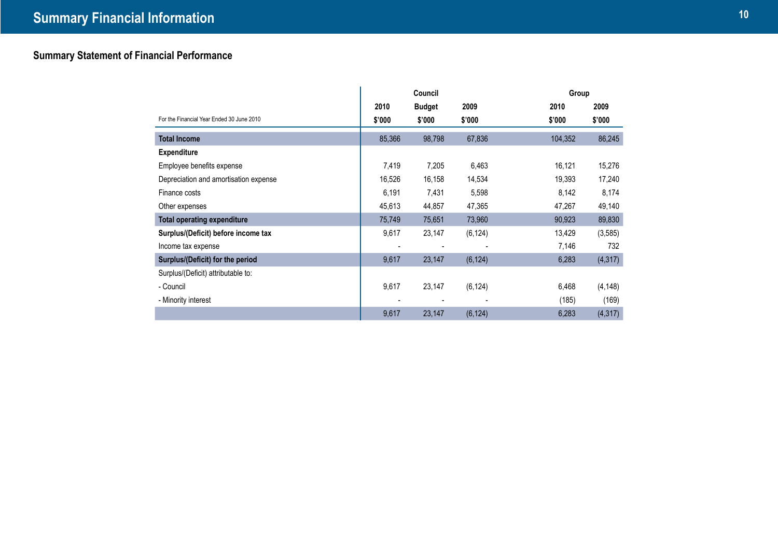# **Summary Statement of Financial Performance**

|                                           |        | Council       |          | Group   |          |
|-------------------------------------------|--------|---------------|----------|---------|----------|
|                                           | 2010   | <b>Budget</b> | 2009     | 2010    | 2009     |
| For the Financial Year Ended 30 June 2010 | \$'000 | \$'000        | \$'000   | \$'000  | \$'000   |
| <b>Total Income</b>                       | 85,366 | 98,798        | 67,836   | 104,352 | 86,245   |
| <b>Expenditure</b>                        |        |               |          |         |          |
| Employee benefits expense                 | 7,419  | 7,205         | 6,463    | 16,121  | 15,276   |
| Depreciation and amortisation expense     | 16,526 | 16,158        | 14,534   | 19,393  | 17,240   |
| Finance costs                             | 6,191  | 7,431         | 5,598    | 8,142   | 8,174    |
| Other expenses                            | 45,613 | 44,857        | 47,365   | 47,267  | 49,140   |
| <b>Total operating expenditure</b>        | 75,749 | 75,651        | 73,960   | 90,923  | 89,830   |
| Surplus/(Deficit) before income tax       | 9,617  | 23,147        | (6, 124) | 13,429  | (3, 585) |
| Income tax expense                        |        |               |          | 7,146   | 732      |
| Surplus/(Deficit) for the period          | 9,617  | 23,147        | (6, 124) | 6,283   | (4, 317) |
| Surplus/(Deficit) attributable to:        |        |               |          |         |          |
| - Council                                 | 9,617  | 23,147        | (6, 124) | 6,468   | (4, 148) |
| - Minority interest                       |        |               |          | (185)   | (169)    |
|                                           | 9,617  | 23,147        | (6, 124) | 6,283   | (4, 317) |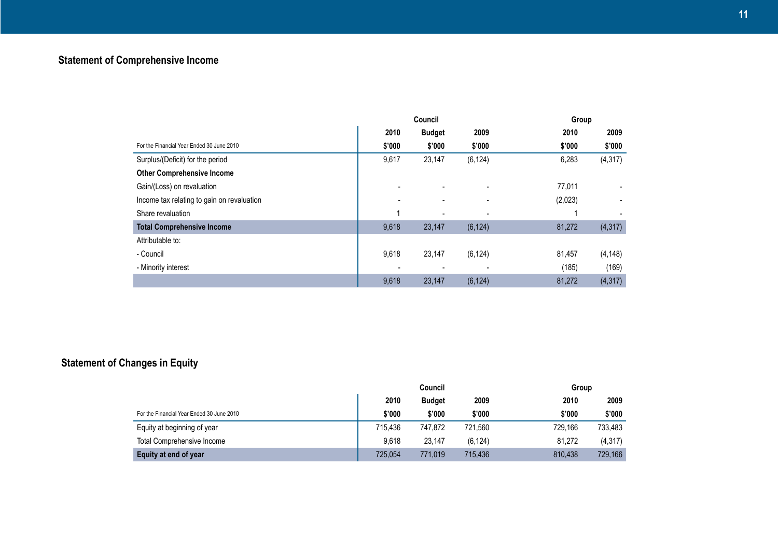# **Statement of Comprehensive Income**

|                                            |        | Council       |                |         | Group    |  |  |
|--------------------------------------------|--------|---------------|----------------|---------|----------|--|--|
|                                            | 2010   | <b>Budget</b> | 2009           | 2010    | 2009     |  |  |
| For the Financial Year Ended 30 June 2010  | \$'000 | \$'000        | \$'000         | \$'000  | \$'000   |  |  |
| Surplus/(Deficit) for the period           | 9,617  | 23,147        | (6, 124)       | 6,283   | (4, 317) |  |  |
| <b>Other Comprehensive Income</b>          |        |               |                |         |          |  |  |
| Gain/(Loss) on revaluation                 |        |               |                | 77,011  |          |  |  |
| Income tax relating to gain on revaluation |        |               |                | (2,023) |          |  |  |
| Share revaluation                          |        |               |                |         |          |  |  |
| <b>Total Comprehensive Income</b>          | 9,618  | 23,147        | (6, 124)       | 81,272  | (4, 317) |  |  |
| Attributable to:                           |        |               |                |         |          |  |  |
| - Council                                  | 9,618  | 23,147        | (6, 124)       | 81,457  | (4, 148) |  |  |
| - Minority interest                        |        |               | $\blacksquare$ | (185)   | (169)    |  |  |
|                                            | 9,618  | 23,147        | (6, 124)       | 81,272  | (4, 317) |  |  |

# **Statement of Changes in Equity**

|                                           | Council |               |          | Group   |          |  |
|-------------------------------------------|---------|---------------|----------|---------|----------|--|
|                                           | 2010    | <b>Budget</b> | 2009     | 2010    | 2009     |  |
| For the Financial Year Ended 30 June 2010 | \$'000  | \$'000        | \$'000   | \$'000  | \$'000   |  |
| Equity at beginning of year               | 715.436 | 747.872       | 721,560  | 729.166 | 733,483  |  |
| <b>Total Comprehensive Income</b>         | 9.618   | 23,147        | (6, 124) | 81,272  | (4, 317) |  |
| Equity at end of year                     | 725.054 | 771,019       | 715,436  | 810.438 | 729,166  |  |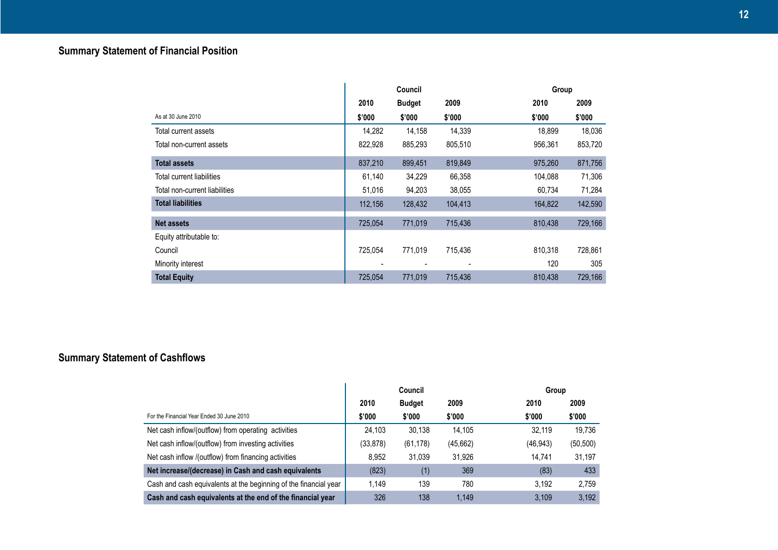|                               |         | Council       |         | Group   |         |
|-------------------------------|---------|---------------|---------|---------|---------|
|                               | 2010    | <b>Budget</b> | 2009    | 2010    | 2009    |
| As at 30 June 2010            | \$'000  | \$'000        | \$'000  | \$'000  | \$'000  |
| Total current assets          | 14,282  | 14,158        | 14.339  | 18,899  | 18,036  |
| Total non-current assets      | 822,928 | 885,293       | 805,510 | 956,361 | 853,720 |
| <b>Total assets</b>           | 837,210 | 899,451       | 819,849 | 975,260 | 871,756 |
| Total current liabilities     | 61,140  | 34,229        | 66,358  | 104.088 | 71,306  |
| Total non-current liabilities | 51,016  | 94,203        | 38,055  | 60,734  | 71,284  |
| <b>Total liabilities</b>      | 112,156 | 128,432       | 104,413 | 164,822 | 142,590 |
| <b>Net assets</b>             | 725,054 | 771,019       | 715,436 | 810,438 | 729,166 |
| Equity attributable to:       |         |               |         |         |         |
| Council                       | 725.054 | 771,019       | 715,436 | 810.318 | 728,861 |
| Minority interest             |         |               |         | 120     | 305     |
| <b>Total Equity</b>           | 725,054 | 771,019       | 715,436 | 810,438 | 729,166 |

# **Summary Statement of Cashflows**

|                                                                  |           | Council       |          | Group     |           |
|------------------------------------------------------------------|-----------|---------------|----------|-----------|-----------|
|                                                                  | 2010      | <b>Budget</b> | 2009     | 2010      | 2009      |
| For the Financial Year Ended 30 June 2010                        | \$'000    | \$'000        | \$'000   | \$'000    | \$'000    |
| Net cash inflow/(outflow) from operating activities              | 24,103    | 30,138        | 14.105   | 32.119    | 19.736    |
| Net cash inflow/(outflow) from investing activities              | (33, 878) | (61, 178)     | (45,662) | (46, 943) | (50, 500) |
| Net cash inflow /(outflow) from financing activities             | 8.952     | 31,039        | 31.926   | 14.741    | 31,197    |
| Net increase/(decrease) in Cash and cash equivalents             | (823)     | (1)           | 369      | (83)      | 433       |
| Cash and cash equivalents at the beginning of the financial year | 1.149     | 139           | 780      | 3.192     | 2.759     |
| Cash and cash equivalents at the end of the financial year       | 326       | 138           | 1.149    | 3.109     | 3,192     |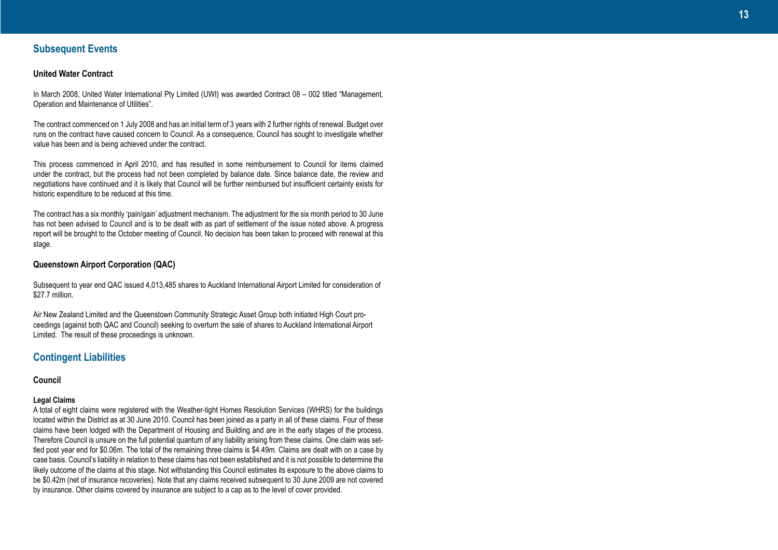### **Subsequent Events**

### **United Water Contract**

In March 2008, United Water International Pty Limited (UWI) was awarded Contract 08 – 002 titled "Management, Operation and Maintenance of Utilities".

The contract commenced on 1 July 2008 and has an initial term of 3 years with 2 further rights of renewal. Budget over runs on the contract have caused concern to Council. As a consequence, Council has sought to investigate whether value has been and is being achieved under the contract.

This process commenced in April 2010, and has resulted in some reimbursement to Council for items claimed under the contract, but the process had not been completed by balance date. Since balance date, the review and negotiations have continued and it is likely that Council will be further reimbursed but insufficient certainty exists for historic expenditure to be reduced at this time.

The contract has a six monthly 'pain/gain' adjustment mechanism. The adjustment for the six month period to 30 June has not been advised to Council and is to be dealt with as part of settlement of the issue noted above. A progress report will be brought to the October meeting of Council. No decision has been taken to proceed with renewal at this stage.

### **Queenstown Airport Corporation (QAC)**

Subsequent to year end QAC issued 4,013,485 shares to Auckland International Airport Limited for consideration of \$27.7 million.

Air New Zealand Limited and the Queenstown Community Strategic Asset Group both initiated High Court pro ceedings (against both QAC and Council) seeking to overturn the sale of shares to Auckland International Airport Limited. The result of these proceedings is unknown.

# **Contingent Liabilities**

**Council**

#### **Legal Claims**

A total of eight claims were registered with the Weather-tight Homes Resolution Services (WHRS) for the buildings located within the District as at 30 June 2010. Council has been joined as a party in all of these claims. Four of these claims have been lodged with the Department of Housing and Building and are in the early stages of the process. Therefore Council is unsure on the full potential quantum of any liability arising from these claims. One claim was set tled post year end for \$0.06m. The total of the remaining three claims is \$4.49m. Claims are dealt with on a case by case basis. Council's liability in relation to these claims has not been established and it is not possible to determine the likely outcome of the claims at this stage. Not withstanding this Council estimates its exposure to the above claims to be \$0.42m (net of insurance recoveries). Note that any claims received subsequent to 30 June 2009 are not covered by insurance. Other claims covered by insurance are subject to a cap as to the level of cover provided.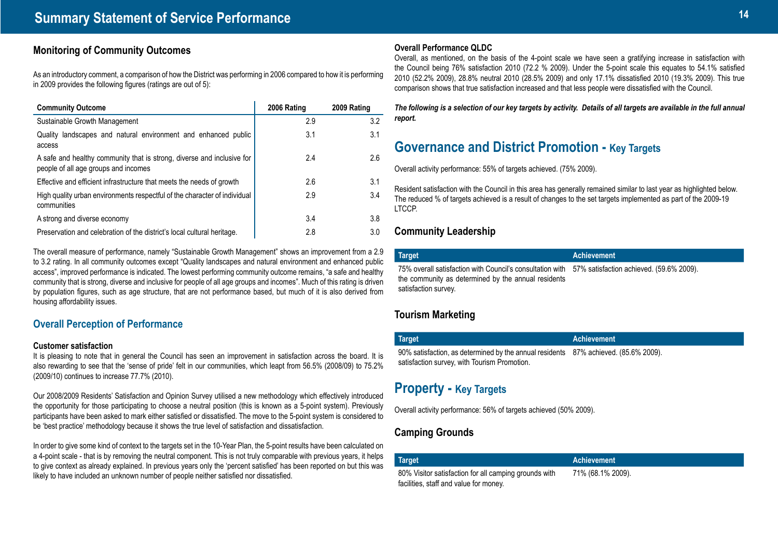# **Monitoring of Community Outcomes**

As an introductory comment, a comparison of how the District was performing in 2006 compared to how it is performing in 2009 provides the following figures (ratings are out of 5):

| <b>Community Outcome</b>                                                                                       | 2006 Rating | 2009 Rating |
|----------------------------------------------------------------------------------------------------------------|-------------|-------------|
| Sustainable Growth Management                                                                                  | 2.9         | 3.2         |
| Quality landscapes and natural environment and enhanced public<br>access                                       | 3.1         | 3.1         |
| A safe and healthy community that is strong, diverse and inclusive for<br>people of all age groups and incomes | 2.4         | 2.6         |
| Effective and efficient infrastructure that meets the needs of growth                                          | 2.6         | 3.1         |
| High quality urban environments respectful of the character of individual<br>communities                       | 2.9         | 3.4         |
| A strong and diverse economy                                                                                   | 3.4         | 3.8         |
| Preservation and celebration of the district's local cultural heritage.                                        | 2.8         | 3.0         |

The overall measure of performance, namely "Sustainable Growth Management" shows an improvement from a 2.9 to 3.2 rating. In all community outcomes except "Quality landscapes and natural environment and enhanced public access", improved performance is indicated. The lowest performing community outcome remains, "a safe and healthy community that is strong, diverse and inclusive for people of all age groups and incomes". Much of this rating is driven by population figures, such as age structure, that are not performance based, but much of it is also derived from housing affordability issues.

### **Overall Perception of Performance**

### **Customer satisfaction**

It is pleasing to note that in general the Council has seen an improvement in satisfaction across the board. It is also rewarding to see that the 'sense of pride' felt in our communities, which leapt from 56.5% (2008/09) to 75.2% (2009/10) continues to increase 77.7% (2010).

Our 2008/2009 Residents' Satisfaction and Opinion Survey utilised a new methodology which effectively introduced the opportunity for those participating to choose a neutral position (this is known as a 5-point system). Previously participants have been asked to mark either satisfied or dissatisfied. The move to the 5-point system is considered to be 'best practice' methodology because it shows the true level of satisfaction and dissatisfaction.

In order to give some kind of context to the targets set in the 10-Year Plan, the 5-point results have been calculated on a 4-point scale - that is by removing the neutral component. This is not truly comparable with previous years, it helps to give context as already explained. In previous years only the 'percent satisfied' has been reported on but this was likely to have included an unknown number of people neither satisfied nor dissatisfied.

### **Overall Performance QLDC**

Overall, as mentioned, on the basis of the 4-point scale we have seen a gratifying increase in satisfaction with the Council being 76% satisfaction 2010 (72.2 % 2009). Under the 5-point scale this equates to 54.1% satisfied 2010 (52.2% 2009), 28.8% neutral 2010 (28.5% 2009) and only 17.1% dissatisfied 2010 (19.3% 2009). This true comparison shows that true satisfaction increased and that less people were dissatisfied with the Council.

*The following is a selection of our key targets by activity. Details of all targets are available in the full annual report.*

# **Governance and District Promotion - Key Targets**

Overall activity performance: 55% of targets achieved. (75% 2009).

Resident satisfaction with the Council in this area has generally remained similar to last year as highlighted below. The reduced % of targets achieved is a result of changes to the set targets implemented as part of the 2009-19 LTCCP.

# **Community Leadership**

| Target                                                                                                                                                                            | 'Achievement |
|-----------------------------------------------------------------------------------------------------------------------------------------------------------------------------------|--------------|
| 75% overall satisfaction with Council's consultation with 57% satisfaction achieved. (59.6% 2009).<br>the community as determined by the annual residents<br>satisfaction survey. |              |

# **Tourism Marketing**

| <b>Target</b>                                                                                                                       | <b>Achievement</b> |
|-------------------------------------------------------------------------------------------------------------------------------------|--------------------|
| 90% satisfaction, as determined by the annual residents 87% achieved. (85.6% 2009).<br>satisfaction survey, with Tourism Promotion. |                    |

# **Property - Key Targets**

facilities, staff and value for money.

Overall activity performance: 56% of targets achieved (50% 2009).

# **Camping Grounds**

### **Target Achievement** 80% Visitor satisfaction for all camping grounds with

71% (68.1% 2009).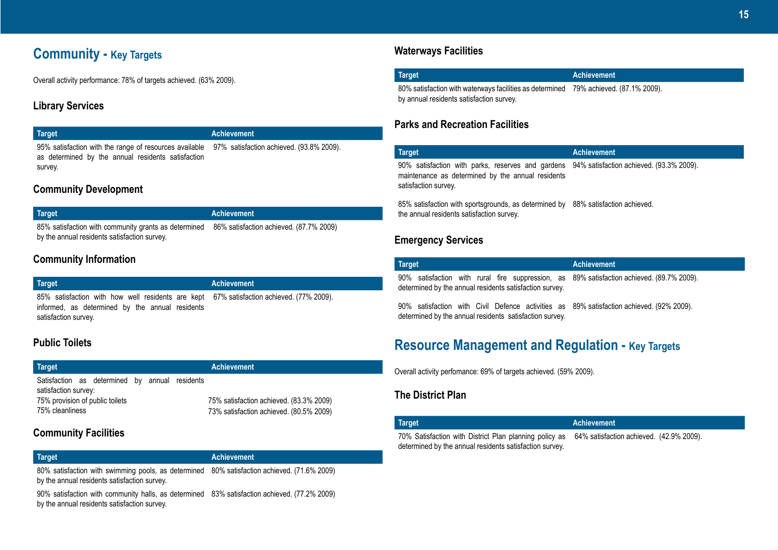# **Community - Key Targets**

Overall activity performance: 78% of targets achieved. (63% 2009).

# **Library Services**

### **Target Achievement**

95% satisfaction with the range of resources available 97% satisfaction achieved. (93.8% 2009). as determined by the annual residents satisfaction survey.

# **Community Development**

| <b>Target</b>                                                                                | Achievement |
|----------------------------------------------------------------------------------------------|-------------|
| 85% satisfaction with community grants as determined 86% satisfaction achieved. (87.7% 2009) |             |
| by the annual residents satisfaction survey.                                                 |             |

# **Community Information**

| <b>Target</b>                                                                                                                                                       | <b>Achievement</b> |
|---------------------------------------------------------------------------------------------------------------------------------------------------------------------|--------------------|
| 85% satisfaction with how well residents are kept 67% satisfaction achieved. (77% 2009).<br>informed, as determined by the annual residents<br>satisfaction survey. |                    |

# **Public Toilets**

| Target                                                                                                                       | <b>Achievement</b>                                                                 |  |
|------------------------------------------------------------------------------------------------------------------------------|------------------------------------------------------------------------------------|--|
| Satisfaction as determined by annual residents<br>satisfaction survey:<br>75% provision of public toilets<br>75% cleanliness | 75% satisfaction achieved. (83.3% 2009)<br>73% satisfaction achieved. (80.5% 2009) |  |

# **Community Facilities**

| Target                                                                                      | <b>Achievement</b> |
|---------------------------------------------------------------------------------------------|--------------------|
| 80% satisfaction with swimming pools, as determined 80% satisfaction achieved. (71.6% 2009) |                    |
| by the annual residents satisfaction survey.                                                |                    |

90% satisfaction with community halls, as determined 83% satisfaction achieved. (77.2% 2009) by the annual residents satisfaction survey.

# **Waterways Facilities**

| Target                                                                               | Achievement |
|--------------------------------------------------------------------------------------|-------------|
| 80% satisfaction with waterways facilities as determined 79% achieved. (87.1% 2009). |             |
| by annual residents satisfaction survey.                                             |             |

### **Parks and Recreation Facilities**

| <b>Target</b>                                                                                                                                                                                                                       | <b>Achievement</b> |
|-------------------------------------------------------------------------------------------------------------------------------------------------------------------------------------------------------------------------------------|--------------------|
| 90% satisfaction with parks, reserves and gardens 94% satisfaction achieved. (93.3% 2009).<br>maintenance as determined by the annual residents<br>satisfaction survey.                                                             |                    |
| $\overline{0}$ , and the contract of the contract of the contract of the contract of the contract of the contract of the contract of the contract of the contract of the contract of the contract of the contract of the contract o |                    |

85% satisfaction with sportsgrounds, as determined by 88% satisfaction achieved. the annual residents satisfaction survey.

# **Emergency Services**

| <b>Target</b>                                                                                                                                        | <b>Achievement</b> |
|------------------------------------------------------------------------------------------------------------------------------------------------------|--------------------|
| 90% satisfaction with rural fire suppression, as 89% satisfaction achieved. (89.7% 2009).<br>determined by the annual residents satisfaction survey. |                    |
| 90% satisfaction with Civil Defence activities as 89% satisfaction achieved. (92% 2009).<br>determined by the annual residents satisfaction survey.  |                    |

# **Resource Management and Regulation - Key Targets**

Overall activity perfomance: 69% of targets achieved. (59% 2009).

# **The District Plan**

| <b>Target</b>                                                                                                     | <b>Achievement</b>                       |
|-------------------------------------------------------------------------------------------------------------------|------------------------------------------|
| 70% Satisfaction with District Plan planning policy as<br>determined by the annual residents satisfaction survey. | 64% satisfaction achieved. (42.9% 2009). |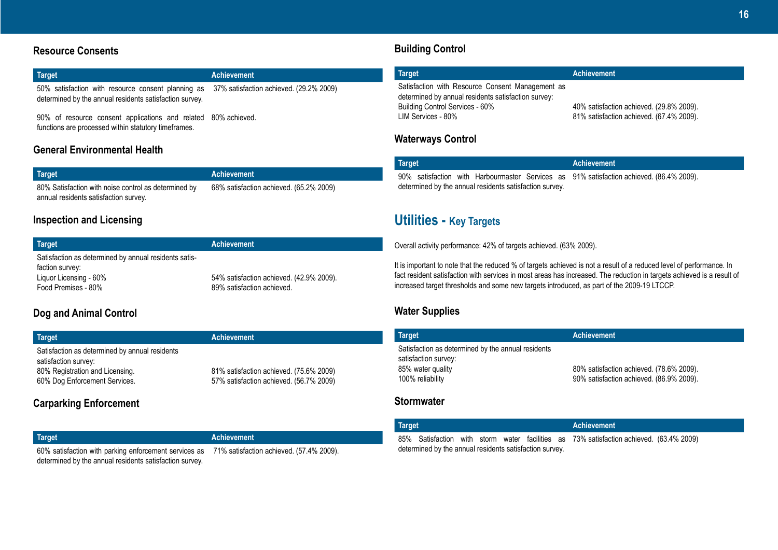# **Resource Consents**

| Target                                                                                                                                                | Achievement |
|-------------------------------------------------------------------------------------------------------------------------------------------------------|-------------|
| 50% satisfaction with resource consent planning as 37% satisfaction achieved. (29.2% 2009)<br>determined by the annual residents satisfaction survey. |             |

90% of resource consent applications and related 80% achieved. functions are processed within statutory timeframes.

# **General Environmental Health**

| Target                                               | <b>Achievement</b>                      |
|------------------------------------------------------|-----------------------------------------|
| 80% Satisfaction with noise control as determined by | 68% satisfaction achieved. (65.2% 2009) |
| annual residents satisfaction survey.                |                                         |

# **Inspection and Licensing**

| Target                                                                   | <b>Achievement</b>                                                     |
|--------------------------------------------------------------------------|------------------------------------------------------------------------|
| Satisfaction as determined by annual residents satis-<br>faction survey: |                                                                        |
| Liquor Licensing - 60%<br>Food Premises - 80%                            | 54% satisfaction achieved. (42.9% 2009).<br>89% satisfaction achieved. |

# **Dog and Animal Control**

| Target                                                                                                                                     | <b>Achievement</b>                                                                 |
|--------------------------------------------------------------------------------------------------------------------------------------------|------------------------------------------------------------------------------------|
| Satisfaction as determined by annual residents<br>satisfaction survey:<br>80% Registration and Licensing.<br>60% Dog Enforcement Services. | 81% satisfaction achieved. (75.6% 2009)<br>57% satisfaction achieved. (56.7% 2009) |

# **Carparking Enforcement**

| <b>Target</b>                                                                                  | <b>Achievement</b> |
|------------------------------------------------------------------------------------------------|--------------------|
| 60% satisfaction with parking enforcement services as 71% satisfaction achieved. (57.4% 2009). |                    |
| determined by the annual residents satisfaction survey.                                        |                    |

# **Building Control**

| Target                                                                                                                                                           | <b>Achievement</b>                                                                   |
|------------------------------------------------------------------------------------------------------------------------------------------------------------------|--------------------------------------------------------------------------------------|
| Satisfaction with Resource Consent Management as<br>determined by annual residents satisfaction survey:<br>Building Control Services - 60%<br>LIM Services - 80% | 40% satisfaction achieved. (29.8% 2009).<br>81% satisfaction achieved. (67.4% 2009). |

# **Waterways Control**

| <b>Target</b>                                           |  |  |  |  |  | Achievement                                                                              |
|---------------------------------------------------------|--|--|--|--|--|------------------------------------------------------------------------------------------|
|                                                         |  |  |  |  |  | 90% satisfaction with Harbourmaster Services as 91% satisfaction achieved. (86.4% 2009). |
| determined by the annual residents satisfaction survey. |  |  |  |  |  |                                                                                          |

# **Utilities - Key Targets**

Overall activity performance: 42% of targets achieved. (63% 2009).

It is important to note that the reduced % of targets achieved is not a result of a reduced level of performance. In fact resident satisfaction with services in most areas has increased. The reduction in targets achieved is a result of increased target thresholds and some new targets introduced, as part of the 2009-19 LTCCP.

# **Water Supplies**

| <b>Target</b>                                                                                                       | <b>Achievement</b>                                                                   |
|---------------------------------------------------------------------------------------------------------------------|--------------------------------------------------------------------------------------|
| Satisfaction as determined by the annual residents<br>satisfaction survey:<br>85% water quality<br>100% reliability | 80% satisfaction achieved. (78.6% 2009).<br>90% satisfaction achieved. (86.9% 2009). |

# **Stormwater**

| Target                                                  |  |  |  |  |  |  | Achievement                                                                             |  |
|---------------------------------------------------------|--|--|--|--|--|--|-----------------------------------------------------------------------------------------|--|
|                                                         |  |  |  |  |  |  | 85% Satisfaction with storm water facilities as 73% satisfaction achieved. (63.4% 2009) |  |
| determined by the annual residents satisfaction survey. |  |  |  |  |  |  |                                                                                         |  |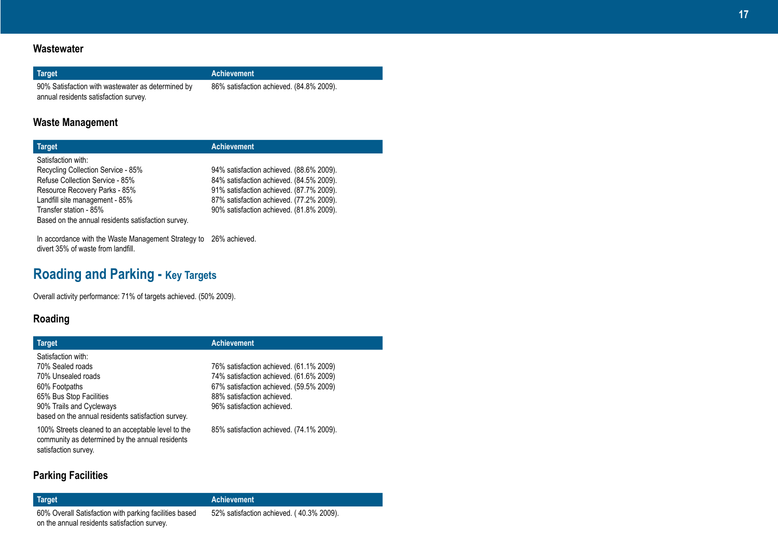# **Wastewater**

### **Target Achievement**

90% Satisfaction with wastewater as determined by annual residents satisfaction survey.

86% satisfaction achieved. (84.8% 2009).

# **Waste Management**

| <b>Target</b>                                      | <b>Achievement</b>                       |
|----------------------------------------------------|------------------------------------------|
| Satisfaction with:                                 |                                          |
| Recycling Collection Service - 85%                 | 94% satisfaction achieved. (88.6% 2009). |
| Refuse Collection Service - 85%                    | 84% satisfaction achieved. (84.5% 2009). |
| Resource Recovery Parks - 85%                      | 91% satisfaction achieved. (87.7% 2009). |
| Landfill site management - 85%                     | 87% satisfaction achieved. (77.2% 2009). |
| Transfer station - 85%                             | 90% satisfaction achieved. (81.8% 2009). |
| Based on the annual residents satisfaction survey. |                                          |

In accordance with the Waste Management Strategy to 26% achieved. divert 35% of waste from landfill.

# **Roading and Parking - Key Targets**

Overall activity performance: 71% of targets achieved. (50% 2009).

# **Roading**

| <b>Target</b>                                                                                                                                                                              | <b>Achievement</b>                                                                                                                                                                        |
|--------------------------------------------------------------------------------------------------------------------------------------------------------------------------------------------|-------------------------------------------------------------------------------------------------------------------------------------------------------------------------------------------|
| Satisfaction with:<br>70% Sealed roads<br>70% Unsealed roads<br>60% Footpaths<br>65% Bus Stop Facilities<br>90% Trails and Cycleways<br>based on the annual residents satisfaction survey. | 76% satisfaction achieved. (61.1% 2009)<br>74% satisfaction achieved. (61.6% 2009)<br>67% satisfaction achieved. (59.5% 2009)<br>88% satisfaction achieved.<br>96% satisfaction achieved. |
| 100% Streets cleaned to an acceptable level to the<br>community as determined by the annual residents<br>satisfaction survey.                                                              | 85% satisfaction achieved. (74.1% 2009).                                                                                                                                                  |

# **Parking Facilities**

60% Overall Satisfaction with parking facilities based on the annual residents satisfaction survey.

### **Target Achievement**

52% satisfaction achieved. ( 40.3% 2009).